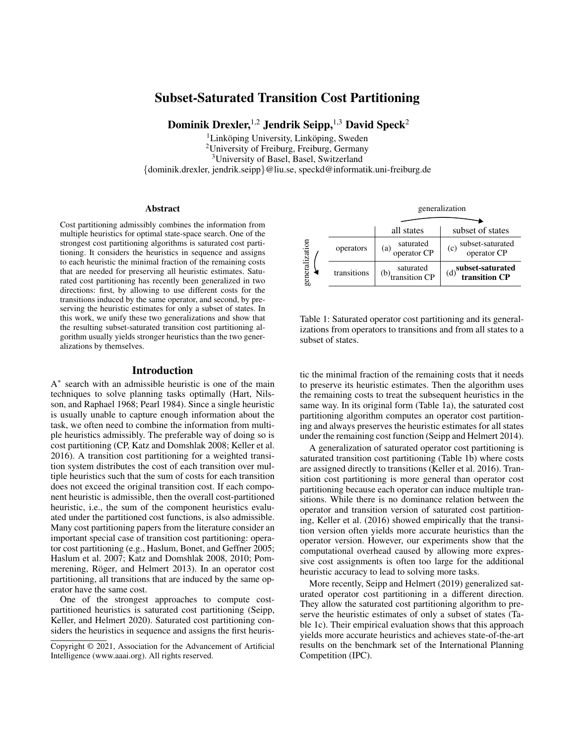# Subset-Saturated Transition Cost Partitioning

Dominik Drexler,<sup>1,2</sup> Jendrik Seipp,<sup>1,3</sup> David Speck<sup>2</sup>

 $1$ Linköping University, Linköping, Sweden <sup>2</sup>University of Freiburg, Freiburg, Germany

<sup>3</sup>University of Basel, Basel, Switzerland

{dominik.drexler, jendrik.seipp}@liu.se, speckd@informatik.uni-freiburg.de

#### **Abstract**

Cost partitioning admissibly combines the information from multiple heuristics for optimal state-space search. One of the strongest cost partitioning algorithms is saturated cost partitioning. It considers the heuristics in sequence and assigns to each heuristic the minimal fraction of the remaining costs that are needed for preserving all heuristic estimates. Saturated cost partitioning has recently been generalized in two directions: first, by allowing to use different costs for the transitions induced by the same operator, and second, by preserving the heuristic estimates for only a subset of states. In this work, we unify these two generalizations and show that the resulting subset-saturated transition cost partitioning algorithm usually yields stronger heuristics than the two generalizations by themselves.

### Introduction

A ∗ search with an admissible heuristic is one of the main techniques to solve planning tasks optimally (Hart, Nilsson, and Raphael 1968; Pearl 1984). Since a single heuristic is usually unable to capture enough information about the task, we often need to combine the information from multiple heuristics admissibly. The preferable way of doing so is cost partitioning (CP, Katz and Domshlak 2008; Keller et al. 2016). A transition cost partitioning for a weighted transition system distributes the cost of each transition over multiple heuristics such that the sum of costs for each transition does not exceed the original transition cost. If each component heuristic is admissible, then the overall cost-partitioned heuristic, i.e., the sum of the component heuristics evaluated under the partitioned cost functions, is also admissible. Many cost partitioning papers from the literature consider an important special case of transition cost partitioning: operator cost partitioning (e.g., Haslum, Bonet, and Geffner 2005; Haslum et al. 2007; Katz and Domshlak 2008, 2010; Pommerening, Röger, and Helmert 2013). In an operator cost partitioning, all transitions that are induced by the same operator have the same cost.

One of the strongest approaches to compute costpartitioned heuristics is saturated cost partitioning (Seipp, Keller, and Helmert 2020). Saturated cost partitioning considers the heuristics in sequence and assigns the first heuris-

all states subset of states operators (a) saturated<br>operator CP  $(c)$  subset-saturated operator CP transitions  $(6)$  saturated<br>transition CP  $(d)$ <sup>subset-saturated</sup> transition CP generalization generalization

Table 1: Saturated operator cost partitioning and its generalizations from operators to transitions and from all states to a subset of states.

tic the minimal fraction of the remaining costs that it needs to preserve its heuristic estimates. Then the algorithm uses the remaining costs to treat the subsequent heuristics in the same way. In its original form (Table 1a), the saturated cost partitioning algorithm computes an operator cost partitioning and always preserves the heuristic estimates for all states under the remaining cost function (Seipp and Helmert 2014).

A generalization of saturated operator cost partitioning is saturated transition cost partitioning (Table 1b) where costs are assigned directly to transitions (Keller et al. 2016). Transition cost partitioning is more general than operator cost partitioning because each operator can induce multiple transitions. While there is no dominance relation between the operator and transition version of saturated cost partitioning, Keller et al. (2016) showed empirically that the transition version often yields more accurate heuristics than the operator version. However, our experiments show that the computational overhead caused by allowing more expressive cost assignments is often too large for the additional heuristic accuracy to lead to solving more tasks.

More recently, Seipp and Helmert (2019) generalized saturated operator cost partitioning in a different direction. They allow the saturated cost partitioning algorithm to preserve the heuristic estimates of only a subset of states (Table 1c). Their empirical evaluation shows that this approach yields more accurate heuristics and achieves state-of-the-art results on the benchmark set of the International Planning Competition (IPC).

Copyright © 2021, Association for the Advancement of Artificial Intelligence (www.aaai.org). All rights reserved.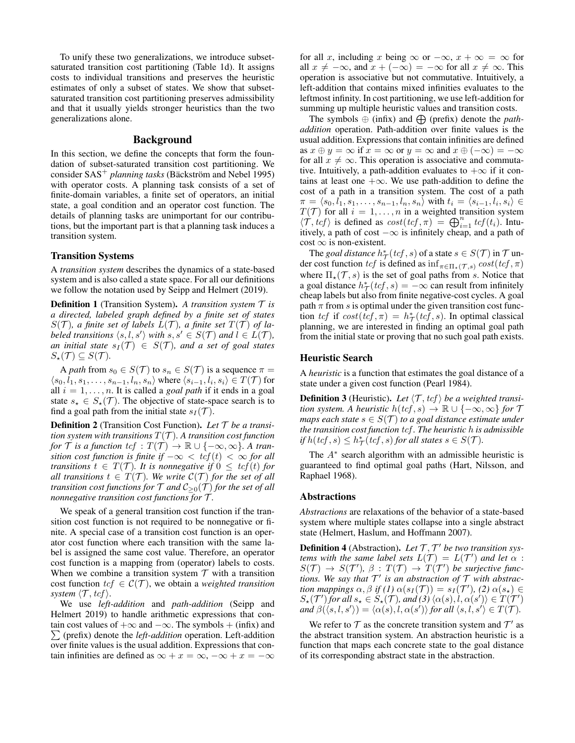To unify these two generalizations, we introduce subsetsaturated transition cost partitioning (Table 1d). It assigns costs to individual transitions and preserves the heuristic estimates of only a subset of states. We show that subsetsaturated transition cost partitioning preserves admissibility and that it usually yields stronger heuristics than the two generalizations alone.

### Background

In this section, we define the concepts that form the foundation of subset-saturated transition cost partitioning. We consider SAS<sup>+</sup> *planning tasks* (Bäckström and Nebel 1995) with operator costs. A planning task consists of a set of finite-domain variables, a finite set of operators, an initial state, a goal condition and an operator cost function. The details of planning tasks are unimportant for our contributions, but the important part is that a planning task induces a transition system.

### Transition Systems

A *transition system* describes the dynamics of a state-based system and is also called a state space. For all our definitions we follow the notation used by Seipp and Helmert (2019).

Definition 1 (Transition System). *A transition system* T *is a directed, labeled graph defined by a finite set of states*  $S(\mathcal{T})$ *, a finite set of labels*  $L(\mathcal{T})$ *, a finite set*  $T(\mathcal{T})$  *of labeled transitions*  $\langle s, l, s' \rangle$  *with*  $s, s' \in S(\mathcal{T})$  *and*  $l \in L(\mathcal{T})$ *, an initial state*  $s_I(\mathcal{T}) \in S(\mathcal{T})$ *, and a set of goal states*  $S_{\star}(\mathcal{T}) \subseteq S(\mathcal{T}).$ 

A *path* from  $s_0 \in S(\mathcal{T})$  to  $s_n \in S(\mathcal{T})$  is a sequence  $\pi =$  $\langle s_0, l_1, s_1, \ldots, s_{n-1}, l_n, s_n \rangle$  where  $\langle s_{i-1}, l_i, s_i \rangle \in T(\mathcal{T})$  for all  $i = 1, \ldots, n$ . It is called a *goal path* if it ends in a goal state  $s_{\star} \in S_{\star}(\mathcal{T})$ . The objective of state-space search is to find a goal path from the initial state  $s_I(\mathcal{T})$ .

Definition 2 (Transition Cost Function). *Let* T *be a transition system with transitions*  $T(\mathcal{T})$ *. A transition cost function for*  $\mathcal T$  *is a function*  $tcf : T(\mathcal T) \to \mathbb R \cup \{-\infty, \infty\}$ *. A transition cost function is finite if*  $-\infty < \text{tcf}(t) < \infty$  *for all transitions*  $t \in T(T)$ *. It is nonnegative if*  $0 \leq tcf(t)$  *for all transitions*  $t \in T(T)$ *. We write*  $C(T)$  *for the set of all transition cost functions for*  $\mathcal T$  *and*  $\mathcal C_{\geq 0}(\mathcal T)$  *for the set of all nonnegative transition cost functions for* T *.*

We speak of a general transition cost function if the transition cost function is not required to be nonnegative or finite. A special case of a transition cost function is an operator cost function where each transition with the same label is assigned the same cost value. Therefore, an operator cost function is a mapping from (operator) labels to costs. When we combine a transition system  $T$  with a transition cost function  $tcf \in \mathcal{C}(\mathcal{T})$ , we obtain a *weighted transition system*  $\langle \mathcal{T}, tcf \rangle$ .

We use *left-addition* and *path-addition* (Seipp and Helmert 2019) to handle arithmetic expressions that contain cost values of  $+\infty$  and  $-\infty$ . The symbols  $+$  (infix) and  $\sum$  (prefix) denote the *left-addition* operation. Left-addition over finite values is the usual addition. Expressions that contain infinities are defined as  $\infty + x = \infty, -\infty + x = -\infty$  for all x, including x being  $\infty$  or  $-\infty$ ,  $x + \infty = \infty$  for all  $x \neq -\infty$ , and  $x + (-\infty) = -\infty$  for all  $x \neq \infty$ . This operation is associative but not commutative. Intuitively, a left-addition that contains mixed infinities evaluates to the leftmost infinity. In cost partitioning, we use left-addition for summing up multiple heuristic values and transition costs.

The symbols  $\oplus$  (infix) and  $\oplus$  (prefix) denote the *pathaddition* operation. Path-addition over finite values is the usual addition. Expressions that contain infinities are defined as  $x \oplus y = \infty$  if  $x = \infty$  or  $y = \infty$  and  $x \oplus (-\infty) = -\infty$ for all  $x \neq \infty$ . This operation is associative and commutative. Intuitively, a path-addition evaluates to  $+\infty$  if it contains at least one  $+\infty$ . We use path-addition to define the cost of a path in a transition system. The cost of a path  $\pi = \langle s_0, l_1, s_1, \ldots, s_{n-1}, l_n, s_n \rangle$  with  $t_i = \langle s_{i-1}, l_i, s_i \rangle \in$  $T(\mathcal{T})$  for all  $i = 1, \ldots, n$  in a weighted transition system  $\langle \mathcal{T}, tcf \rangle$  is defined as  $cost(tcf, \pi) = \bigoplus_{i=1}^n tcf(t_i)$ . Intuitively, a path of cost  $-\infty$  is infinitely cheap, and a path of  $cost \infty$  is non-existent.

The *goal distance*  $h^*_{\mathcal{T}}(\text{tcf}, s)$  of a state  $s \in S(\mathcal{T})$  in  $\mathcal{T}$  under cost function tcf is defined as  $\inf_{\pi \in \Pi_{\star}(\mathcal{T},s)} cost(tcf, \pi)$ where  $\Pi_{\star}(\mathcal{T}, s)$  is the set of goal paths from s. Notice that a goal distance  $h^*_{\mathcal{T}}(\text{tcf}, s) = -\infty$  can result from infinitely cheap labels but also from finite negative-cost cycles. A goal path  $\pi$  from s is optimal under the given transition cost function tcf if  $cost(tcf, \pi) = h^*_{\mathcal{T}}(te\bar{f}, s)$ . In optimal classical planning, we are interested in finding an optimal goal path from the initial state or proving that no such goal path exists.

#### Heuristic Search

A *heuristic* is a function that estimates the goal distance of a state under a given cost function (Pearl 1984).

**Definition 3** (Heuristic). Let  $\langle T, tcf \rangle$  be a weighted transi*tion system. A heuristic*  $h(tcf, s) \rightarrow \mathbb{R} \cup \{-\infty, \infty\}$  *for*  $\mathcal{T}$ *maps each state*  $s \in S(\mathcal{T})$  *to a goal distance estimate under the transition cost function* tcf *. The heuristic* h *is admissible if*  $h(tcf, s) \leq h^*_{\mathcal{T}}(tcf, s)$  *for all states*  $s \in S(\mathcal{T})$ *.* 

The  $A^*$  search algorithm with an admissible heuristic is guaranteed to find optimal goal paths (Hart, Nilsson, and Raphael 1968).

### Abstractions

*Abstractions* are relaxations of the behavior of a state-based system where multiple states collapse into a single abstract state (Helmert, Haslum, and Hoffmann 2007).

**Definition 4** (Abstraction). Let  $T$ ,  $T'$  be two transition sys*tems with the same label sets*  $L(\mathcal{T}) = L(\mathcal{T}')$  *and let*  $\alpha$  :  $S(\mathcal{T}) \to S(\mathcal{T}'), \beta : T(\mathcal{T}) \to T(\mathcal{T}')$  be surjective func*tions. We say that* T 0 *is an abstraction of* T *with abstraction mappings*  $\alpha$ ,  $\beta$  if (1)  $\alpha(s_I(\mathcal{T})) = s_I(\mathcal{T}')$ , (2)  $\alpha(s_\star) \in$  $S_\star(\mathcal{T}')$  for all  $s_\star \in S_\star(\mathcal{T})$ , and  $(3)$   $\langle \alpha(s), \widetilde{l}, \alpha(s') \rangle \in T(\mathcal{T}')$  $and \ \beta(\langle s, l, s' \rangle) = \langle \alpha(s), l, \alpha(s') \rangle$  for all  $\langle s, l, s' \rangle \in T(\mathcal{T})$ .

We refer to  $T$  as the concrete transition system and  $T'$  as the abstract transition system. An abstraction heuristic is a function that maps each concrete state to the goal distance of its corresponding abstract state in the abstraction.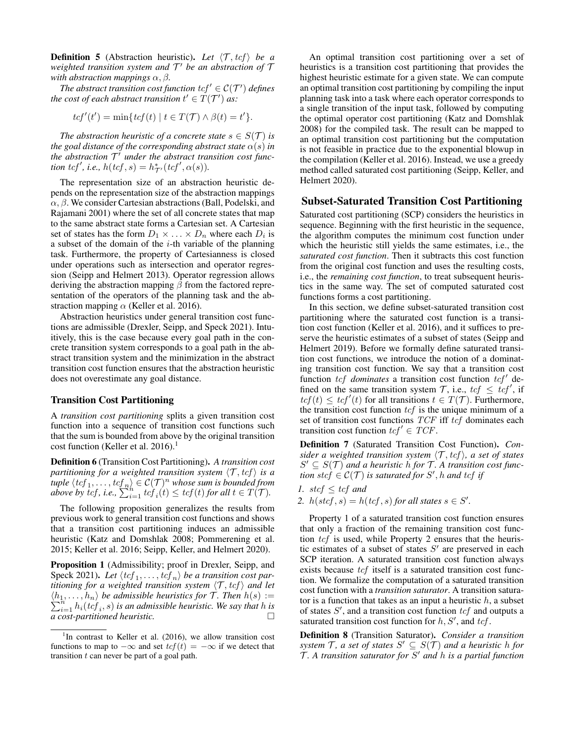**Definition 5** (Abstraction heuristic). Let  $\langle \mathcal{T}, tcf \rangle$  be a *weighted transition system and* T <sup>0</sup> *be an abstraction of* T *with abstraction mappings*  $\alpha$ ,  $\beta$ .

*The abstract transition cost function*  $\text{tcf}' \in \mathcal{C}(\mathcal{T}')$  *defines the cost of each abstract transition*  $t' \in T(T')$  *as:* 

$$
tcf'(t') = \min\{tcf(t) \mid t \in T(\mathcal{T}) \land \beta(t) = t'\}.
$$

*The abstraction heuristic of a concrete state*  $s \in S(\mathcal{T})$  *is the goal distance of the corresponding abstract state*  $\alpha(s)$  *in* the abstraction  $\mathcal{T}^{\prime}$  under the abstract transition cost func*tion tcf', i.e.,*  $h(tcf, s) = h^*_{\mathcal{T}'}(tcf', \alpha(s)).$ 

The representation size of an abstraction heuristic depends on the representation size of the abstraction mappings  $\alpha$ ,  $\beta$ . We consider Cartesian abstractions (Ball, Podelski, and Rajamani 2001) where the set of all concrete states that map to the same abstract state forms a Cartesian set. A Cartesian set of states has the form  $D_1 \times \ldots \times D_n$  where each  $D_i$  is a subset of the domain of the  $i$ -th variable of the planning task. Furthermore, the property of Cartesianness is closed under operations such as intersection and operator regression (Seipp and Helmert 2013). Operator regression allows deriving the abstraction mapping  $\beta$  from the factored representation of the operators of the planning task and the abstraction mapping  $\alpha$  (Keller et al. 2016).

Abstraction heuristics under general transition cost functions are admissible (Drexler, Seipp, and Speck 2021). Intuitively, this is the case because every goal path in the concrete transition system corresponds to a goal path in the abstract transition system and the minimization in the abstract transition cost function ensures that the abstraction heuristic does not overestimate any goal distance.

## Transition Cost Partitioning

A *transition cost partitioning* splits a given transition cost function into a sequence of transition cost functions such that the sum is bounded from above by the original transition cost function (Keller et al. 2016).<sup>1</sup>

Definition 6 (Transition Cost Partitioning). *A transition cost partitioning for a weighted transition system*  $\langle \mathcal{T}, tcf \rangle$  *is a* tuple  $\langle tcf_1, \ldots, tcf_n \rangle \in C(\mathcal{T})^n$  whose sum is bounded from *above by*  $\text{tcf. } i.e., \sum_{i=1}^{n_h} \text{tcf. } i(t) \leq \text{tcf(t) for all } t \in T(\mathcal{T})$ *.* 

The following proposition generalizes the results from previous work to general transition cost functions and shows that a transition cost partitioning induces an admissible heuristic (Katz and Domshlak 2008; Pommerening et al. 2015; Keller et al. 2016; Seipp, Keller, and Helmert 2020).

Proposition 1 (Admissibility; proof in Drexler, Seipp, and Speck 2021). Let  $\langle tcf_1, \ldots, tcf_n \rangle$  be a transition cost par*titioning for a weighted transition system*  $\langle T, tcf \rangle$  *and let*  $\langle h_1, \ldots, h_n \rangle$  *be admissible heuristics for*  $\mathcal{T}$ *. Then*  $h(s) :=$  $\sum_{i=1}^{n} h_i(t) f_i(s)$  *is an admissible heuristic. We say that h is a cost-partitioned heuristic.*

An optimal transition cost partitioning over a set of heuristics is a transition cost partitioning that provides the highest heuristic estimate for a given state. We can compute an optimal transition cost partitioning by compiling the input planning task into a task where each operator corresponds to a single transition of the input task, followed by computing the optimal operator cost partitioning (Katz and Domshlak 2008) for the compiled task. The result can be mapped to an optimal transition cost partitioning but the computation is not feasible in practice due to the exponential blowup in the compilation (Keller et al. 2016). Instead, we use a greedy method called saturated cost partitioning (Seipp, Keller, and Helmert 2020).

## Subset-Saturated Transition Cost Partitioning

Saturated cost partitioning (SCP) considers the heuristics in sequence. Beginning with the first heuristic in the sequence, the algorithm computes the minimum cost function under which the heuristic still yields the same estimates, i.e., the *saturated cost function*. Then it subtracts this cost function from the original cost function and uses the resulting costs, i.e., the *remaining cost function*, to treat subsequent heuristics in the same way. The set of computed saturated cost functions forms a cost partitioning.

In this section, we define subset-saturated transition cost partitioning where the saturated cost function is a transition cost function (Keller et al. 2016), and it suffices to preserve the heuristic estimates of a subset of states (Seipp and Helmert 2019). Before we formally define saturated transition cost functions, we introduce the notion of a dominating transition cost function. We say that a transition cost function  $tcf$  *dominates* a transition cost function  $tcf'$  defined on the same transition system  $\mathcal{T}$ , i.e.,  $\text{tcf} \leq \text{tcf}'$ , if  $tcf(t) \leq tcf'(t)$  for all transitions  $t \in T(\mathcal{T})$ . Furthermore, the transition cost function  $tcf$  is the unique minimum of a set of transition cost functions TCF iff tcf dominates each transition cost function  $tcf' \in TCF$ .

Definition 7 (Saturated Transition Cost Function). *Consider a weighted transition system*  $\langle T, \text{tcf} \rangle$ *, a set of states*  $S' \subseteq S(\mathcal{T})$  and a heuristic h for  $\mathcal{T}$ . A transition cost func- $\mathcal{L}$  *tion stcf*  $\in \mathcal{C}(\mathcal{T})$  *is saturated for S'*, *h and tcf if* 

- *1.* stcf  $\leq$  tcf and
- 2.  $h(\textit{stcf}, s) = h(\textit{tcf}, s)$  *for all states*  $s \in S'.$

Property 1 of a saturated transition cost function ensures that only a fraction of the remaining transition cost function tcf is used, while Property 2 ensures that the heuristic estimates of a subset of states  $S'$  are preserved in each SCP iteration. A saturated transition cost function always exists because tcf itself is a saturated transition cost function. We formalize the computation of a saturated transition cost function with a *transition saturator*. A transition saturator is a function that takes as an input a heuristic  $h$ , a subset of states  $S'$ , and a transition cost function  $tcf$  and outputs a saturated transition cost function for  $h, S'$ , and  $tcf$ .

Definition 8 (Transition Saturator). *Consider a transition system*  $\mathcal{T}$ *, a set of states*  $S' \subseteq S(\mathcal{T})$  *and a heuristic h for* T *. A transition saturator for* S <sup>0</sup> *and* h *is a partial function*

<sup>&</sup>lt;sup>1</sup>In contrast to Keller et al. (2016), we allow transition cost functions to map to  $-\infty$  and set  $tcf(t) = -\infty$  if we detect that transition  $t$  can never be part of a goal path.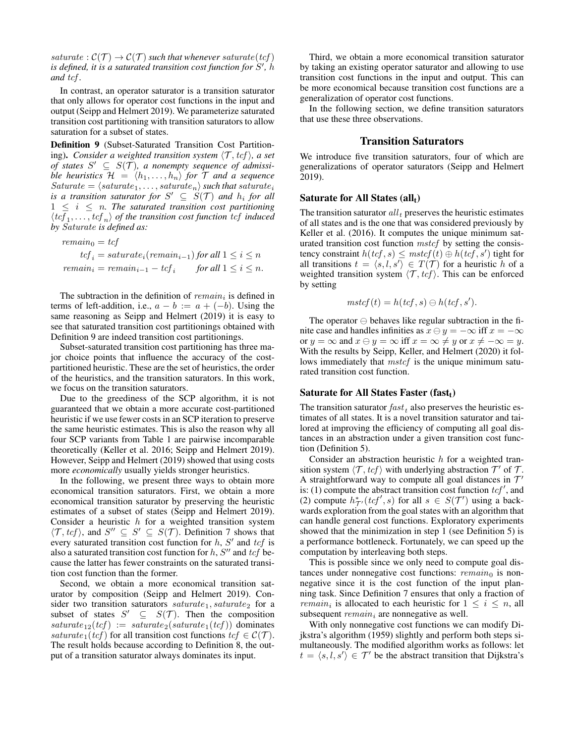saturate :  $C(\mathcal{T}) \rightarrow C(\mathcal{T})$  such that whenever saturate(tcf) is defined, it is a saturated transition cost function for S', h *and* tcf *.*

In contrast, an operator saturator is a transition saturator that only allows for operator cost functions in the input and output (Seipp and Helmert 2019). We parameterize saturated transition cost partitioning with transition saturators to allow saturation for a subset of states.

Definition 9 (Subset-Saturated Transition Cost Partitioning). *Consider a weighted transition system*  $\langle \mathcal{T}, tcf \rangle$ , *a set of states*  $S' \subseteq S(\mathcal{T})$ , a nonempty sequence of admissi*ble heuristics*  $\mathcal{H} = \langle h_1, \ldots, h_n \rangle$  *for*  $\mathcal{T}$  *and a sequence*  $Saturate = \langle saturate_1, \ldots, saturate_n \rangle$  *such that saturate<sub>i</sub>* is a transition saturator for  $S' \subseteq S(\mathcal{T})$  and  $h_i$  for all  $1 \leq i \leq n$ . The saturated transition cost partitioning  $\langle tcf_1, \ldots, tcf_n \rangle$  of the transition cost function  $tcf$  induced *by* Saturate *is defined as:*

$$
remain_0 = tcf
$$
  
\n
$$
tcf_i = saturate_i(remain_{i-1}) for all 1 \le i \le n
$$
  
\n
$$
remain_i = remain_{i-1} - tcf_i \qquad for all 1 \le i \le n.
$$

The subtraction in the definition of  $remain_i$  is defined in terms of left-addition, i.e.,  $a - b := a + (-b)$ . Using the same reasoning as Seipp and Helmert (2019) it is easy to see that saturated transition cost partitionings obtained with Definition 9 are indeed transition cost partitionings.

Subset-saturated transition cost partitioning has three major choice points that influence the accuracy of the costpartitioned heuristic. These are the set of heuristics, the order of the heuristics, and the transition saturators. In this work, we focus on the transition saturators.

Due to the greediness of the SCP algorithm, it is not guaranteed that we obtain a more accurate cost-partitioned heuristic if we use fewer costs in an SCP iteration to preserve the same heuristic estimates. This is also the reason why all four SCP variants from Table 1 are pairwise incomparable theoretically (Keller et al. 2016; Seipp and Helmert 2019). However, Seipp and Helmert (2019) showed that using costs more *economically* usually yields stronger heuristics.

In the following, we present three ways to obtain more economical transition saturators. First, we obtain a more economical transition saturator by preserving the heuristic estimates of a subset of states (Seipp and Helmert 2019). Consider a heuristic  $h$  for a weighted transition system  $\langle \mathcal{T}, \text{tcf} \rangle$ , and  $S'' \subseteq S' \subseteq S(\mathcal{T})$ . Definition 7 shows that every saturated transition cost function for  $h$ ,  $S'$  and  $tcf$  is also a saturated transition cost function for  $h$ ,  $S''$  and  $tcf$  because the latter has fewer constraints on the saturated transition cost function than the former.

Second, we obtain a more economical transition saturator by composition (Seipp and Helmert 2019). Consider two transition saturators  $saturate_1, saturate_2$  for a subset of states  $S' \subseteq S(\mathcal{T})$ . Then the composition  $saturated_12(tcf) := saturate_2(saturated_1(tcf))$  dominates saturate<sub>1</sub>(tcf) for all transition cost functions tcf  $\in \mathcal{C}(\mathcal{T})$ . The result holds because according to Definition 8, the output of a transition saturator always dominates its input.

Third, we obtain a more economical transition saturator by taking an existing operator saturator and allowing to use transition cost functions in the input and output. This can be more economical because transition cost functions are a generalization of operator cost functions.

In the following section, we define transition saturators that use these three observations.

### Transition Saturators

We introduce five transition saturators, four of which are generalizations of operator saturators (Seipp and Helmert 2019).

### Saturate for All States  $(all<sub>t</sub>)$

The transition saturator  $all<sub>t</sub>$  preserves the heuristic estimates of all states and is the one that was considered previously by Keller et al. (2016). It computes the unique minimum saturated transition cost function mstcf by setting the consistency constraint  $h(tcf, s) \leq mstcf(t) \oplus h(tcf, s')$  tight for all transitions  $t = \langle s, l, s' \rangle \in T(\mathcal{T})$  for a heuristic h of a weighted transition system  $\langle \mathcal{T}, tcf \rangle$ . This can be enforced by setting

$$
mstcf(t) = h(tcf, s) \ominus h(tcf, s').
$$

The operator  $\ominus$  behaves like regular subtraction in the finite case and handles infinities as  $x \ominus y = -\infty$  iff  $x = -\infty$ or  $y = \infty$  and  $x \ominus y = \infty$  iff  $x = \infty \neq y$  or  $x \neq -\infty = y$ . With the results by Seipp, Keller, and Helmert (2020) it follows immediately that *mstcf* is the unique minimum saturated transition cost function.

### Saturate for All States Faster (fast $_t$ )

The transition saturator  $fast<sub>t</sub>$  also preserves the heuristic estimates of all states. It is a novel transition saturator and tailored at improving the efficiency of computing all goal distances in an abstraction under a given transition cost function (Definition 5).

Consider an abstraction heuristic  $h$  for a weighted transition system  $\langle \mathcal{T}, tcf \rangle$  with underlying abstraction  $\mathcal{T}'$  of  $\mathcal{T}$ . A straightforward way to compute all goal distances in  $\mathcal{T}'$ is: (1) compute the abstract transition cost function  $tcf'$ , and (2) compute  $h^*_{\mathcal{T}'}(\text{tcf}', s)$  for all  $s \in S(\mathcal{T}')$  using a backwards exploration from the goal states with an algorithm that can handle general cost functions. Exploratory experiments showed that the minimization in step 1 (see Definition 5) is a performance bottleneck. Fortunately, we can speed up the computation by interleaving both steps.

This is possible since we only need to compute goal distances under nonnegative cost functions:  $remain_0$  is nonnegative since it is the cost function of the input planning task. Since Definition 7 ensures that only a fraction of *remain<sub>i</sub>* is allocated to each heuristic for  $1 \leq i \leq n$ , all subsequent  $remain_i$  are nonnegative as well.

With only nonnegative cost functions we can modify Dijkstra's algorithm (1959) slightly and perform both steps simultaneously. The modified algorithm works as follows: let  $t = \langle s, l, s' \rangle \in \mathcal{T}'$  be the abstract transition that Dijkstra's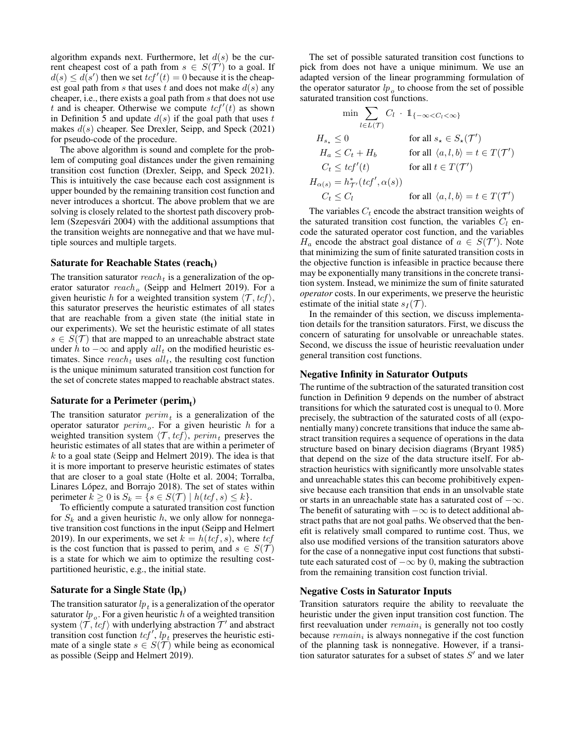algorithm expands next. Furthermore, let  $d(s)$  be the current cheapest cost of a path from  $s \in S(\mathcal{T}')$  to a goal. If  $d(s) \leq d(s')$  then we set  $tcf'(t) = 0$  because it is the cheapest goal path from s that uses t and does not make  $d(s)$  any cheaper, i.e., there exists a goal path from s that does not use t and is cheaper. Otherwise we compute  $tcf'(t)$  as shown in Definition 5 and update  $d(s)$  if the goal path that uses t makes  $d(s)$  cheaper. See Drexler, Seipp, and Speck (2021) for pseudo-code of the procedure.

The above algorithm is sound and complete for the problem of computing goal distances under the given remaining transition cost function (Drexler, Seipp, and Speck 2021). This is intuitively the case because each cost assignment is upper bounded by the remaining transition cost function and never introduces a shortcut. The above problem that we are solving is closely related to the shortest path discovery problem (Szepesvári 2004) with the additional assumptions that the transition weights are nonnegative and that we have multiple sources and multiple targets.

## Saturate for Reachable States (reach $_{t}$ )

The transition saturator  $reach_t$  is a generalization of the operator saturator  $reach<sub>o</sub>$  (Seipp and Helmert 2019). For a given heuristic h for a weighted transition system  $\langle \mathcal{T}, tcf \rangle$ , this saturator preserves the heuristic estimates of all states that are reachable from a given state (the initial state in our experiments). We set the heuristic estimate of all states  $s \in S(\mathcal{T})$  that are mapped to an unreachable abstract state under h to  $-\infty$  and apply all<sub>t</sub> on the modified heuristic estimates. Since  $reach_t$  uses  $all_t$ , the resulting cost function is the unique minimum saturated transition cost function for the set of concrete states mapped to reachable abstract states.

# Saturate for a Perimeter (perim $_{\rm t})$

The transition saturator  $\text{perim}_t$  is a generalization of the operator saturator  $\text{perim}_{o}$ . For a given heuristic h for a weighted transition system  $\langle \mathcal{T}, tcf \rangle$ , perim<sub>t</sub> preserves the heuristic estimates of all states that are within a perimeter of  $k$  to a goal state (Seipp and Helmert 2019). The idea is that it is more important to preserve heuristic estimates of states that are closer to a goal state (Holte et al. 2004; Torralba, Linares López, and Borrajo 2018). The set of states within perimeter  $k \geq 0$  is  $S_k = \{s \in S(\mathcal{T}) \mid h(tcf, s) \leq k\}.$ 

To efficiently compute a saturated transition cost function for  $S_k$  and a given heuristic h, we only allow for nonnegative transition cost functions in the input (Seipp and Helmert 2019). In our experiments, we set  $k = h(tcf, s)$ , where tcf is the cost function that is passed to perim<sub>t</sub> and  $s \in S(\mathcal{T})$ is a state for which we aim to optimize the resulting costpartitioned heuristic, e.g., the initial state.

# Saturate for a Single State (l $\mathbf{p}_\mathrm{t}$ )

The transition saturator  $lp_t$  is a generalization of the operator saturator  $lp_o$ . For a given heuristic h of a weighted transition system  $\langle \mathcal{T}, tcf \rangle$  with underlying abstraction  $\mathcal{T}'$  and abstract transition cost function  $tcf'$ ,  $lp_t$  preserves the heuristic estimate of a single state  $s \in S(\mathcal{T})$  while being as economical as possible (Seipp and Helmert 2019).

The set of possible saturated transition cost functions to pick from does not have a unique minimum. We use an adapted version of the linear programming formulation of the operator saturator  $lp<sub>o</sub>$  to choose from the set of possible saturated transition cost functions.

$$
\min \sum_{l \in L(\mathcal{T})} C_l \cdot 1\!\!1_{\{-\infty < C_l < \infty\}}
$$
\n
$$
H_{s_\star} \le 0 \qquad \text{for all } s_\star \in S_\star(\mathcal{T}')
$$
\n
$$
H_a \le C_t + H_b \qquad \text{for all } \langle a, l, b \rangle = t \in T(\mathcal{T}')
$$
\n
$$
C_t \le \text{tcf}'(t) \qquad \text{for all } t \in T(\mathcal{T}')
$$
\n
$$
H_{\alpha(s)} = h_{\mathcal{T}'}^*(\text{tcf}', \alpha(s))
$$
\n
$$
C_t \le C_l \qquad \text{for all } \langle a, l, b \rangle = t \in T(\mathcal{T}')
$$

The variables  $C_t$  encode the abstract transition weights of the saturated transition cost function, the variables  $C_l$  encode the saturated operator cost function, and the variables  $H_a$  encode the abstract goal distance of  $a \in S(\mathcal{T}')$ . Note that minimizing the sum of finite saturated transition costs in the objective function is infeasible in practice because there may be exponentially many transitions in the concrete transition system. Instead, we minimize the sum of finite saturated *operator* costs. In our experiments, we preserve the heuristic estimate of the initial state  $s_I(\mathcal{T})$ .

In the remainder of this section, we discuss implementation details for the transition saturators. First, we discuss the concern of saturating for unsolvable or unreachable states. Second, we discuss the issue of heuristic reevaluation under general transition cost functions.

### Negative Infinity in Saturator Outputs

The runtime of the subtraction of the saturated transition cost function in Definition 9 depends on the number of abstract transitions for which the saturated cost is unequal to 0. More precisely, the subtraction of the saturated costs of all (exponentially many) concrete transitions that induce the same abstract transition requires a sequence of operations in the data structure based on binary decision diagrams (Bryant 1985) that depend on the size of the data structure itself. For abstraction heuristics with significantly more unsolvable states and unreachable states this can become prohibitively expensive because each transition that ends in an unsolvable state or starts in an unreachable state has a saturated cost of  $-\infty$ . The benefit of saturating with  $-\infty$  is to detect additional abstract paths that are not goal paths. We observed that the benefit is relatively small compared to runtime cost. Thus, we also use modified versions of the transition saturators above for the case of a nonnegative input cost functions that substitute each saturated cost of  $-\infty$  by 0, making the subtraction from the remaining transition cost function trivial.

### Negative Costs in Saturator Inputs

Transition saturators require the ability to reevaluate the heuristic under the given input transition cost function. The first reevaluation under  $remain_i$  is generally not too costly because  $remain_i$  is always nonnegative if the cost function of the planning task is nonnegative. However, if a transition saturator saturates for a subset of states  $S'$  and we later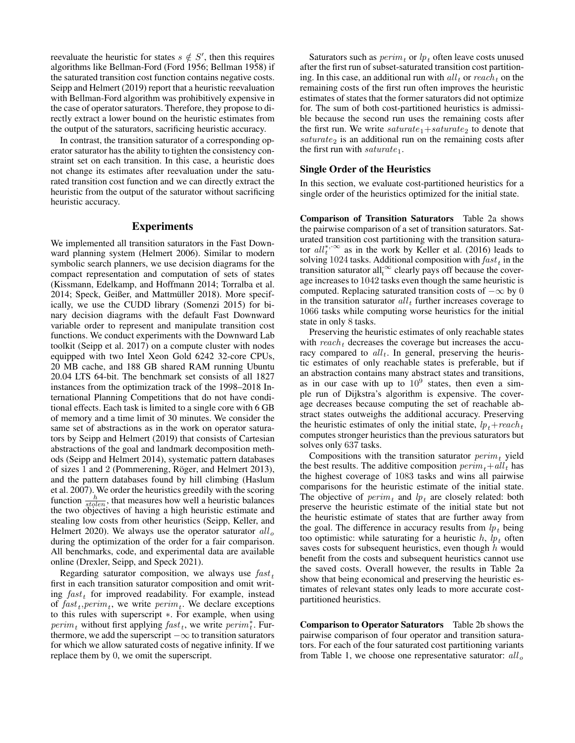reevaluate the heuristic for states  $s \notin S'$ , then this requires algorithms like Bellman-Ford (Ford 1956; Bellman 1958) if the saturated transition cost function contains negative costs. Seipp and Helmert (2019) report that a heuristic reevaluation with Bellman-Ford algorithm was prohibitively expensive in the case of operator saturators. Therefore, they propose to directly extract a lower bound on the heuristic estimates from the output of the saturators, sacrificing heuristic accuracy.

In contrast, the transition saturator of a corresponding operator saturator has the ability to tighten the consistency constraint set on each transition. In this case, a heuristic does not change its estimates after reevaluation under the saturated transition cost function and we can directly extract the heuristic from the output of the saturator without sacrificing heuristic accuracy.

## Experiments

We implemented all transition saturators in the Fast Downward planning system (Helmert 2006). Similar to modern symbolic search planners, we use decision diagrams for the compact representation and computation of sets of states (Kissmann, Edelkamp, and Hoffmann 2014; Torralba et al. 2014; Speck, Geißer, and Mattmüller 2018). More specifically, we use the CUDD library (Somenzi 2015) for binary decision diagrams with the default Fast Downward variable order to represent and manipulate transition cost functions. We conduct experiments with the Downward Lab toolkit (Seipp et al. 2017) on a compute cluster with nodes equipped with two Intel Xeon Gold 6242 32-core CPUs, 20 MB cache, and 188 GB shared RAM running Ubuntu 20.04 LTS 64-bit. The benchmark set consists of all 1827 instances from the optimization track of the 1998–2018 International Planning Competitions that do not have conditional effects. Each task is limited to a single core with 6 GB of memory and a time limit of 30 minutes. We consider the same set of abstractions as in the work on operator saturators by Seipp and Helmert (2019) that consists of Cartesian abstractions of the goal and landmark decomposition methods (Seipp and Helmert 2014), systematic pattern databases of sizes 1 and 2 (Pommerening, Röger, and Helmert 2013), and the pattern databases found by hill climbing (Haslum et al. 2007). We order the heuristics greedily with the scoring function  $\frac{h}{sto}$ , that measures how well a heuristic balances the two objectives of having a high heuristic estimate and stealing low costs from other heuristics (Seipp, Keller, and Helmert 2020). We always use the operator saturator  $all<sub>o</sub>$ during the optimization of the order for a fair comparison. All benchmarks, code, and experimental data are available online (Drexler, Seipp, and Speck 2021).

Regarding saturator composition, we always use  $fast_t$ first in each transition saturator composition and omit writing  $fast_t$  for improved readability. For example, instead of  $fast_t, perim_t$ , we write  $perim_t$ . We declare exceptions to this rules with superscript ∗. For example, when using  $\text{perim}_t$  without first applying  $\text{fast}_t$ , we write  $\text{perim}_t^*$ . Furthermore, we add the superscript  $-\infty$  to transition saturators for which we allow saturated costs of negative infinity. If we replace them by 0, we omit the superscript.

Saturators such as  $\text{perim}_t$  or  $\ln t$  often leave costs unused after the first run of subset-saturated transition cost partitioning. In this case, an additional run with  $all_t$  or  $reach_t$  on the remaining costs of the first run often improves the heuristic estimates of states that the former saturators did not optimize for. The sum of both cost-partitioned heuristics is admissible because the second run uses the remaining costs after the first run. We write  $saturated_1+saturate_2$  to denote that  $saturated$  is an additional run on the remaining costs after the first run with  $saturate_1$ .

### Single Order of the Heuristics

In this section, we evaluate cost-partitioned heuristics for a single order of the heuristics optimized for the initial state.

Comparison of Transition Saturators Table 2a shows the pairwise comparison of a set of transition saturators. Saturated transition cost partitioning with the transition saturator  $all_t^{*,\infty}$  as in the work by Keller et al. (2016) leads to solving 1024 tasks. Additional composition with  $\textit{fast}_t$  in the transition saturator all<sup>-∞</sup> clearly pays off because the coverage increases to 1042 tasks even though the same heuristic is computed. Replacing saturated transition costs of  $-\infty$  by 0 in the transition saturator  $all_t$  further increases coverage to 1066 tasks while computing worse heuristics for the initial state in only 8 tasks.

Preserving the heuristic estimates of only reachable states with  $reach_t$  decreases the coverage but increases the accuracy compared to  $all_t$ . In general, preserving the heuristic estimates of only reachable states is preferable, but if an abstraction contains many abstract states and transitions, as in our case with up to  $10^9$  states, then even a simple run of Dijkstra's algorithm is expensive. The coverage decreases because computing the set of reachable abstract states outweighs the additional accuracy. Preserving the heuristic estimates of only the initial state,  $lp_t+reach_t$ computes stronger heuristics than the previous saturators but solves only 637 tasks.

Compositions with the transition saturator  $\text{perim}_t$  yield the best results. The additive composition  $\text{perim}_t+\text{all}_t$  has the highest coverage of 1083 tasks and wins all pairwise comparisons for the heuristic estimate of the initial state. The objective of  $\text{perm}_t$  and  $\text{lp}_t$  are closely related: both preserve the heuristic estimate of the initial state but not the heuristic estimate of states that are further away from the goal. The difference in accuracy results from  $lp<sub>t</sub>$  being too optimistic: while saturating for a heuristic  $h$ ,  $lp<sub>t</sub>$  often saves costs for subsequent heuristics, even though  $h$  would benefit from the costs and subsequent heuristics cannot use the saved costs. Overall however, the results in Table 2a show that being economical and preserving the heuristic estimates of relevant states only leads to more accurate costpartitioned heuristics.

Comparison to Operator Saturators Table 2b shows the pairwise comparison of four operator and transition saturators. For each of the four saturated cost partitioning variants from Table 1, we choose one representative saturator:  $all<sub>o</sub>$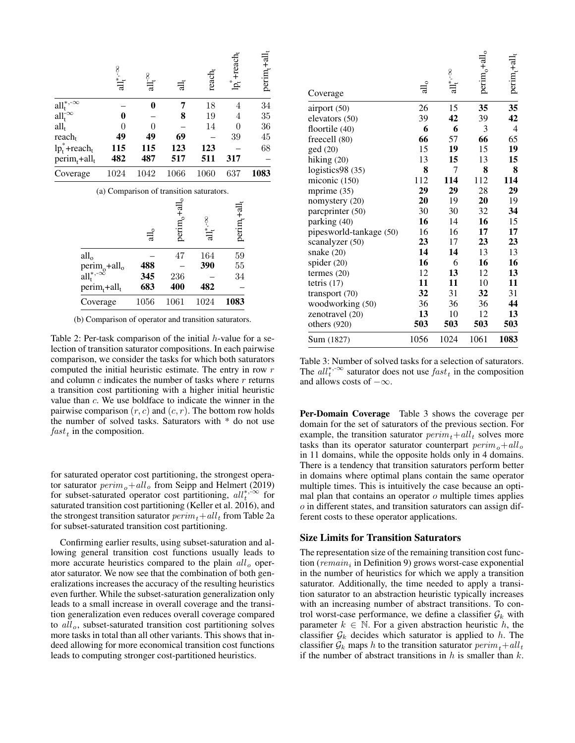|                                      | all*' $\sim$                             | $\mathop{\rm all}\nolimits_{\mathbf{f}}^\infty$ | ਜ਼ੁੱ                    | $reach_t$ | $\mathbf{lp}_{t}^{*}$ +reach, | $perim_t + all_t$ |
|--------------------------------------|------------------------------------------|-------------------------------------------------|-------------------------|-----------|-------------------------------|-------------------|
| $all_t^{*,-\infty}$                  |                                          | $\bf{0}$                                        | 7                       | 18        | 4                             | 34                |
| $all_t^{\infty}$                     | 0                                        |                                                 | 8                       | 19        | 4                             | 35                |
| $all_t$                              | 0                                        | 0                                               |                         | 14        | 0                             | 36                |
| reach <sub>t</sub>                   | 49                                       | 49                                              | 69                      |           | 39                            | 45                |
| $lp_t^* + reach_t$                   | 115                                      | 115                                             | 123                     | 123       |                               | 68                |
| $\text{perim}_{t}$ +all <sub>t</sub> | 482                                      | 487                                             | 517                     | 511       | 317                           |                   |
| Coverage                             | 1024                                     | 1042                                            | 1066                    | 1060      | 637                           | 1083              |
|                                      | (a) Comparison of transition saturators. |                                                 |                         |           |                               |                   |
|                                      |                                          |                                                 | $\rm perim_{a}+all_{o}$ |           | perim <sub>t</sub> +all       |                   |
| all <sub>o</sub>                     |                                          |                                                 | 47                      | 164       | 59                            |                   |
|                                      | perim <sub>o</sub> +all <sub>o</sub>     | 488                                             |                         | 390       | 55                            |                   |
| $all_t^{*,-\infty}$                  |                                          | 345                                             | 236                     |           | 34                            |                   |
| $\text{perim}_{t}$ +all $_{t}$       |                                          | 683                                             | 400                     | 482       |                               |                   |
| Coverage                             |                                          | 1056                                            | 1061                    |           | 1083                          |                   |
|                                      |                                          |                                                 |                         | 1024      |                               |                   |

(b) Comparison of operator and transition saturators.

Table 2: Per-task comparison of the initial  $h$ -value for a selection of transition saturator compositions. In each pairwise comparison, we consider the tasks for which both saturators computed the initial heuristic estimate. The entry in row r and column  $c$  indicates the number of tasks where  $r$  returns a transition cost partitioning with a higher initial heuristic value than c. We use boldface to indicate the winner in the pairwise comparison  $(r, c)$  and  $(c, r)$ . The bottom row holds the number of solved tasks. Saturators with \* do not use  $fast<sub>t</sub>$  in the composition.

for saturated operator cost partitioning, the strongest operator saturator  $\text{perim}_{o} + \text{all}_{o}$  from Seipp and Helmert (2019) for subset-saturated operator cost partitioning,  $all_t^{*,\infty}$  for saturated transition cost partitioning (Keller et al. 2016), and the strongest transition saturator  $\text{perim}_t + \text{all}_t$  from Table 2a for subset-saturated transition cost partitioning.

Confirming earlier results, using subset-saturation and allowing general transition cost functions usually leads to more accurate heuristics compared to the plain  $all<sub>o</sub>$  operator saturator. We now see that the combination of both generalizations increases the accuracy of the resulting heuristics even further. While the subset-saturation generalization only leads to a small increase in overall coverage and the transition generalization even reduces overall coverage compared to  $all<sub>o</sub>$ , subset-saturated transition cost partitioning solves more tasks in total than all other variants. This shows that indeed allowing for more economical transition cost functions leads to computing stronger cost-partitioned heuristics.

| Coverage                | $\rm{dl_o}$ | all*' $\sim$ | $perm_{0}$ +all $_{0}$ | perim <sub>1</sub> +al |
|-------------------------|-------------|--------------|------------------------|------------------------|
| airport (50)            | 26          | 15           | 35                     | 35                     |
| elevators (50)          | 39          | 42           | 39                     | 42                     |
| floortile $(40)$        | 6           | 6            | 3                      | 4                      |
| freecell (80)           | 66          | 57           | 66                     | 65                     |
| ged(20)                 | 15          | 19           | 15                     | 19                     |
| hiking $(20)$           | 13          | 15           | 13                     | 15                     |
| logistics98 (35)        | 8           | 7            | 8                      | 8                      |
| miconic (150)           | 112         | 114          | 112                    | 114                    |
| mprime (35)             | 29          | 29           | 28                     | 29                     |
| nomystery (20)          | 20          | 19           | 20                     | 19                     |
| parcprinter (50)        | 30          | 30           | 32                     | 34                     |
| parking (40)            | 16          | 14           | 16                     | 15                     |
| pipesworld-tankage (50) | 16          | 16           | 17                     | 17                     |
| scanalyzer (50)         | 23          | 17           | 23                     | 23                     |
| snake (20)              | 14          | 14           | 13                     | 13                     |
| spider (20)             | 16          | 6            | 16                     | 16                     |
| termes $(20)$           | 12          | 13           | 12                     | 13                     |
| tetris $(17)$           | 11          | 11           | 10                     | 11                     |
| transport (70)          | 32          | 31           | 32                     | 31                     |
| woodworking (50)        | 36          | 36           | 36                     | 44                     |
| zenotravel (20)         | 13          | 10           | 12                     | 13                     |
| others $(920)$          | 503         | 503          | 503                    | 503                    |
| Sum (1827)              | 1056        | 1024         | 1061                   | 1083                   |

Table 3: Number of solved tasks for a selection of saturators. The  $all_t^{*,\infty}$  saturator does not use  $fast_t$  in the composition and allows costs of  $-\infty$ .

Per-Domain Coverage Table 3 shows the coverage per domain for the set of saturators of the previous section. For example, the transition saturator  $\text{perim}_t+\text{all}_t$  solves more tasks than its operator saturator counterpart  $\text{perm}_{\rho}+\text{all}_{\rho}$ in 11 domains, while the opposite holds only in 4 domains. There is a tendency that transition saturators perform better in domains where optimal plans contain the same operator multiple times. This is intuitively the case because an optimal plan that contains an operator  $o$  multiple times applies o in different states, and transition saturators can assign different costs to these operator applications.

### Size Limits for Transition Saturators

The representation size of the remaining transition cost function ( $remain_i$  in Definition 9) grows worst-case exponential in the number of heuristics for which we apply a transition saturator. Additionally, the time needed to apply a transition saturator to an abstraction heuristic typically increases with an increasing number of abstract transitions. To control worst-case performance, we define a classifier  $\mathcal{G}_k$  with parameter  $k \in \mathbb{N}$ . For a given abstraction heuristic h, the classifier  $\mathcal{G}_k$  decides which saturator is applied to h. The classifier  $\mathcal{G}_k$  maps h to the transition saturator  $\text{perim}_t+\text{all}_t$ if the number of abstract transitions in  $h$  is smaller than  $k$ .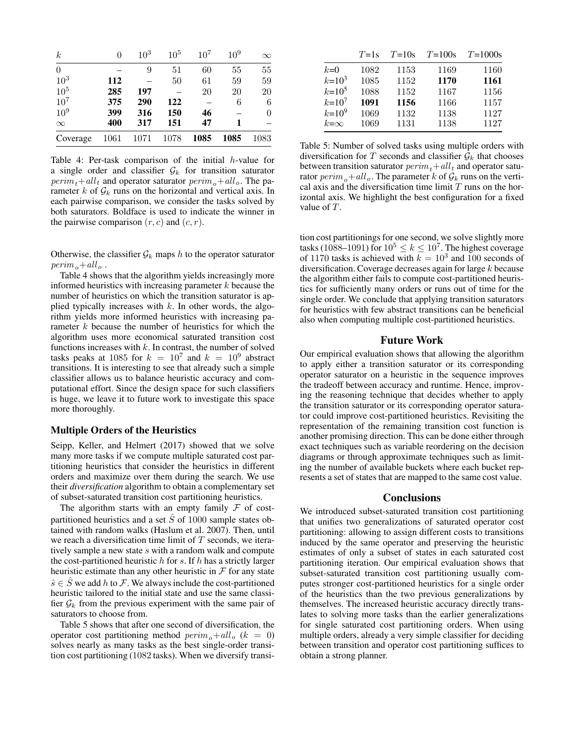| $\boldsymbol{k}$ | 0    | $10^{3}$ | 10 <sup>5</sup> | $10^{7}$ | 10 <sup>9</sup> | $\infty$ |
|------------------|------|----------|-----------------|----------|-----------------|----------|
| $\overline{0}$   |      | 9        | 51              | 60       | 55              | 55       |
| $10^{3}$         | 112  |          | 50              | 61       | 59              | 59       |
| 10 <sup>5</sup>  | 285  | 197      |                 | 20       | 20              | 20       |
| $10^{7}$         | 375  | 290      | 122             |          | 6               | 6        |
| $10^{9}$         | 399  | 316      | 150             | 46       |                 | 0        |
| $\infty$         | 400  | 317      | 151             | 47       |                 |          |
| Coverage         | 1061 | 1071     | 1078            | 1085     | 1085            | 1083     |

Table 4: Per-task comparison of the initial h-value for a single order and classifier  $\mathcal{G}_k$  for transition saturator  $\text{perim}_t+\text{all}_t$  and operator saturator  $\text{perim}_o+\text{all}_o$ . The parameter k of  $\mathcal{G}_k$  runs on the horizontal and vertical axis. In each pairwise comparison, we consider the tasks solved by both saturators. Boldface is used to indicate the winner in the pairwise comparison  $(r, c)$  and  $(c, r)$ .

Otherwise, the classifier  $\mathcal{G}_k$  maps h to the operator saturator  $perim_{\alpha}+all_{\alpha}$ .

Table 4 shows that the algorithm yields increasingly more informed heuristics with increasing parameter  $k$  because the number of heuristics on which the transition saturator is applied typically increases with  $k$ . In other words, the algorithm yields more informed heuristics with increasing parameter k because the number of heuristics for which the algorithm uses more economical saturated transition cost functions increases with  $k$ . In contrast, the number of solved tasks peaks at 1085 for  $k = 10^7$  and  $k = 10^9$  abstract transitions. It is interesting to see that already such a simple classifier allows us to balance heuristic accuracy and computational effort. Since the design space for such classifiers is huge, we leave it to future work to investigate this space more thoroughly.

### Multiple Orders of the Heuristics

Seipp, Keller, and Helmert (2017) showed that we solve many more tasks if we compute multiple saturated cost partitioning heuristics that consider the heuristics in different orders and maximize over them during the search. We use their *diversification* algorithm to obtain a complementary set of subset-saturated transition cost partitioning heuristics.

The algorithm starts with an empty family  $F$  of costpartitioned heuristics and a set  $\ddot{S}$  of 1000 sample states obtained with random walks (Haslum et al. 2007). Then, until we reach a diversification time limit of  $T$  seconds, we iteratively sample a new state  $s$  with a random walk and compute the cost-partitioned heuristic  $h$  for  $s$ . If  $h$  has a strictly larger heuristic estimate than any other heuristic in  $\mathcal F$  for any state  $\hat{s} \in \hat{S}$  we add h to F. We always include the cost-partitioned heuristic tailored to the initial state and use the same classifier  $\mathcal{G}_k$  from the previous experiment with the same pair of saturators to choose from.

Table 5 shows that after one second of diversification, the operator cost partitioning method  $\text{perim}_{o} + \text{all}_{o}$  ( $k = 0$ ) solves nearly as many tasks as the best single-order transition cost partitioning (1082 tasks). When we diversify transi-

|              | $T=1s$ | $T=10s$ | $T=100s$ | $T = 1000s$ |
|--------------|--------|---------|----------|-------------|
| $k=0$        | 1082   | 1153    | 1169     | 1160        |
| $k = 10^3$   | 1085   | 1152    | 1170     | 1161        |
| $k = 10^5$   | 1088   | 1152    | 1167     | 1156        |
| $k = 10^{7}$ | 1091   | 1156    | 1166     | 1157        |
| $k = 10^9$   | 1069   | 1132    | 1138     | 1127        |
| $k=\infty$   | 1069   | 1131    | 1138     | 1127        |
|              |        |         |          |             |

Table 5: Number of solved tasks using multiple orders with diversification for T seconds and classifier  $\mathcal{G}_k$  that chooses between transition saturator  $\text{perim}_t + all_t$  and operator saturator  $\text{perim}_{\rho}$  + all  $_{o}$ . The parameter k of  $\mathcal{G}_k$  runs on the vertical axis and the diversification time limit  $T$  runs on the horizontal axis. We highlight the best configuration for a fixed value of T.

tion cost partitionings for one second, we solve slightly more tasks (1088–1091) for  $10^5 \le k \le 10^7$ . The highest coverage of 1170 tasks is achieved with  $k = 10^3$  and 100 seconds of diversification. Coverage decreases again for large  $k$  because the algorithm either fails to compute cost-partitioned heuristics for sufficiently many orders or runs out of time for the single order. We conclude that applying transition saturators for heuristics with few abstract transitions can be beneficial also when computing multiple cost-partitioned heuristics.

## Future Work

Our empirical evaluation shows that allowing the algorithm to apply either a transition saturator or its corresponding operator saturator on a heuristic in the sequence improves the tradeoff between accuracy and runtime. Hence, improving the reasoning technique that decides whether to apply the transition saturator or its corresponding operator saturator could improve cost-partitioned heuristics. Revisiting the representation of the remaining transition cost function is another promising direction. This can be done either through exact techniques such as variable reordering on the decision diagrams or through approximate techniques such as limiting the number of available buckets where each bucket represents a set of states that are mapped to the same cost value.

#### Conclusions

We introduced subset-saturated transition cost partitioning that unifies two generalizations of saturated operator cost partitioning: allowing to assign different costs to transitions induced by the same operator and preserving the heuristic estimates of only a subset of states in each saturated cost partitioning iteration. Our empirical evaluation shows that subset-saturated transition cost partitioning usually computes stronger cost-partitioned heuristics for a single order of the heuristics than the two previous generalizations by themselves. The increased heuristic accuracy directly translates to solving more tasks than the earlier generalizations for single saturated cost partitioning orders. When using multiple orders, already a very simple classifier for deciding between transition and operator cost partitioning suffices to obtain a strong planner.